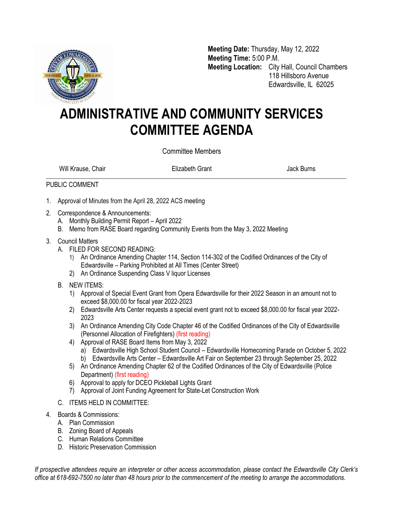

**Meeting Date:** Thursday, May 12, 2022 **Meeting Time:** 5:00 P.M. **Meeting Location:** City Hall, Council Chambers 118 Hillsboro Avenue Edwardsville, IL 62025

## **ADMINISTRATIVE AND COMMUNITY SERVICES COMMITTEE AGENDA**

Committee Members

Will Krause, Chair **Elizabeth Grant Chair Elizabeth Grant** Alex Burns

## PUBLIC COMMENT

- 1. Approval of Minutes from the April 28, 2022 ACS meeting
- 2. Correspondence & Announcements:
	- A. Monthly Building Permit Report April 2022
	- B. Memo from RASE Board regarding Community Events from the May 3, 2022 Meeting
- 3. Council Matters
	- A. FILED FOR SECOND READING:
		- 1) An Ordinance Amending Chapter 114, Section 114-302 of the Codified Ordinances of the City of Edwardsville – Parking Prohibited at All Times (Center Street)
		- 2) An Ordinance Suspending Class V liquor Licenses
	- B. NEW ITEMS:
		- 1) Approval of Special Event Grant from Opera Edwardsville for their 2022 Season in an amount not to exceed \$8,000.00 for fiscal year 2022-2023
		- 2) Edwardsville Arts Center requests a special event grant not to exceed \$8,000.00 for fiscal year 2022- 2023
		- 3) An Ordinance Amending City Code Chapter 46 of the Codified Ordinances of the City of Edwardsville (Personnel Allocation of Firefighters) (first reading)
		- 4) Approval of RASE Board Items from May 3, 2022
			- a) Edwardsville High School Student Council Edwardsville Homecoming Parade on October 5, 2022
			- b) Edwardsville Arts Center Edwardsville Art Fair on September 23 through September 25, 2022
		- 5) An Ordinance Amending Chapter 62 of the Codified Ordinances of the City of Edwardsville (Police Department) (first reading)
		- 6) Approval to apply for DCEO Pickleball Lights Grant
		- 7) Approval of Joint Funding Agreement for State-Let Construction Work
	- C. ITEMS HELD IN COMMITTEE:
- 4. Boards & Commissions:
	- A. Plan Commission
	- B. Zoning Board of Appeals
	- C. Human Relations Committee
	- D. Historic Preservation Commission

*If prospective attendees require an interpreter or other access accommodation, please contact the Edwardsville City Clerk's office at 618-692-7500 no later than 48 hours prior to the commencement of the meeting to arrange the accommodations.*